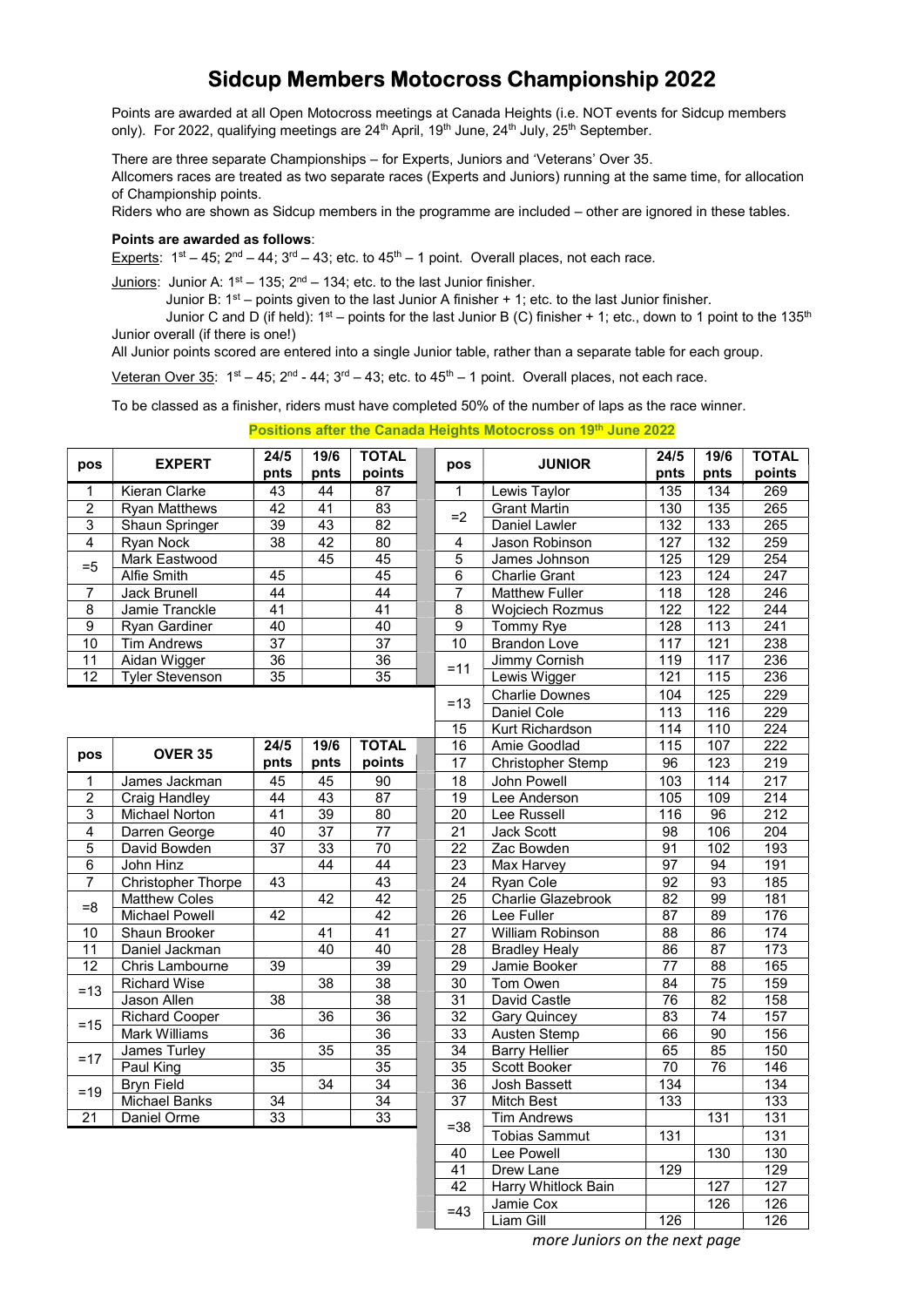## Sidcup Members Motocross Championship 2022

Points are awarded at all Open Motocross meetings at Canada Heights (i.e. NOT events for Sidcup members only). For 2022, qualifying meetings are  $24<sup>th</sup>$  April, 19<sup>th</sup> June,  $24<sup>th</sup>$  July,  $25<sup>th</sup>$  September.

There are three separate Championships – for Experts, Juniors and 'Veterans' Over 35.

Allcomers races are treated as two separate races (Experts and Juniors) running at the same time, for allocation of Championship points.

Riders who are shown as Sidcup members in the programme are included – other are ignored in these tables.

## Points are awarded as follows:

Experts:  $1^{\text{st}} - 45$ ;  $2^{\text{nd}} - 44$ ;  $3^{\text{rd}} - 43$ ; etc. to  $45^{\text{th}} - 1$  point. Overall places, not each race.

Juniors: Junior A:  $1^{st}$  – 135;  $2^{nd}$  – 134; etc. to the last Junior finisher.

Junior B:  $1<sup>st</sup>$  – points given to the last Junior A finisher + 1; etc. to the last Junior finisher. Junior C and D (if held):  $1^{st}$  – points for the last Junior B (C) finisher + 1; etc., down to 1 point to the 135<sup>th</sup> Junior overall (if there is one!)

All Junior points scored are entered into a single Junior table, rather than a separate table for each group.

Veteran Over 35:  $1<sup>st</sup> - 45$ ;  $2<sup>nd</sup> - 44$ ;  $3<sup>rd</sup> - 43$ ; etc. to  $45<sup>th</sup> - 1$  point. Overall places, not each race.

To be classed as a finisher, riders must have completed 50% of the number of laps as the race winner.

Positions after the Canada Heights Motocross on 19th June 2022

| pos             | <b>EXPERT</b>             | 24/5            | <b>TOTAL</b><br>19/6<br>pos<br>points<br>pnts |                 |                 | <b>JUNIOR</b>          | 24/5             | 19/6             | <b>TOTAL</b>     |
|-----------------|---------------------------|-----------------|-----------------------------------------------|-----------------|-----------------|------------------------|------------------|------------------|------------------|
|                 |                           | pnts            |                                               |                 |                 | pnts                   | pnts             | points           |                  |
| $\mathbf{1}$    | Kieran Clarke             | $\overline{43}$ | 44                                            | $\overline{87}$ | $\mathbf{1}$    | Lewis Taylor           | $\frac{1}{135}$  | 134              | 269              |
| $\overline{2}$  | <b>Ryan Matthews</b>      | $\overline{42}$ | $\overline{41}$                               | 83              | $=2$            | <b>Grant Martin</b>    | 130              | 135              | 265              |
| 3               | Shaun Springer            | $\overline{39}$ | 43                                            | $\overline{82}$ |                 | Daniel Lawler          | 132              | 133              | 265              |
| $\overline{4}$  | Ryan Nock                 | 38              | 42                                            | 80              | $\overline{4}$  | Jason Robinson         | 127              | 132              | 259              |
| $=5$            | Mark Eastwood             |                 | 45                                            | 45              | $\overline{5}$  | James Johnson          | 125              | 129              | 254              |
|                 | Alfie Smith               | 45              |                                               | 45              | 6               | <b>Charlie Grant</b>   | $\overline{123}$ | 124              | 247              |
| $\overline{7}$  | Jack Brunell              | $\overline{44}$ |                                               | $\overline{44}$ | $\overline{7}$  | <b>Matthew Fuller</b>  | 118              | 128              | 246              |
| 8               | Jamie Tranckle            | 41              |                                               | $\overline{41}$ | $\bf 8$         | <b>Wojciech Rozmus</b> | 122              | 122              | 244              |
| 9               | Ryan Gardiner             | 40              |                                               | 40              | 9               | Tommy Rye              | 128              | 113              | $\overline{241}$ |
| 10              | <b>Tim Andrews</b>        | $\overline{37}$ |                                               | $\overline{37}$ | 10              | <b>Brandon Love</b>    | 117              | 121              | 238              |
| 11              | Aidan Wigger              | 36              |                                               | 36              | $=11$           | <b>Jimmy Cornish</b>   | 119              | 117              | 236              |
| $\overline{12}$ | <b>Tyler Stevenson</b>    | 35              |                                               | $\overline{35}$ |                 | Lewis Wigger           | 121              | 115              | 236              |
|                 |                           |                 |                                               |                 | $=13$           | <b>Charlie Downes</b>  | 104              | 125              | 229              |
|                 |                           |                 |                                               |                 | Daniel Cole     | 113                    | 116              | 229              |                  |
|                 |                           |                 |                                               | 15              | Kurt Richardson | 114                    | 110              | $\overline{224}$ |                  |
|                 | <b>OVER 35</b>            | 24/5            | 19/6                                          | <b>TOTAL</b>    | 16              | Amie Goodlad           | 115              | 107              | 222              |
| pos             |                           | pnts            | pnts                                          | points          | $\overline{17}$ | Christopher Stemp      | 96               | $\overline{123}$ | $\overline{219}$ |
| $\overline{1}$  | James Jackman             | 45              | $\overline{45}$                               | $\overline{90}$ | 18              | John Powell            | 103              | 114              | 217              |
| $\overline{2}$  | Craig Handley             | 44              | 43                                            | $\overline{87}$ | $\overline{19}$ | Lee Anderson           | 105              | 109              | $\overline{214}$ |
| $\overline{3}$  | <b>Michael Norton</b>     | 41              | $\overline{39}$                               | $\overline{80}$ | $\overline{20}$ | Lee Russell            | 116              | $\overline{96}$  | 212              |
| $\overline{4}$  | Darren George             | 40              | $\overline{37}$                               | $\overline{77}$ | $\overline{21}$ | <b>Jack Scott</b>      | $\overline{98}$  | 106              | 204              |
| $\overline{5}$  | David Bowden              | 37              | 33                                            | 70              | 22              | Zac Bowden             | 91               | 102              | 193              |
| $\overline{6}$  | John Hinz                 |                 | 44                                            | 44              | 23              | Max Harvey             | 97               | 94               | 191              |
| $\overline{7}$  | <b>Christopher Thorpe</b> | 43              |                                               | 43              | 24              | Ryan Cole              | 92               | 93               | 185              |
| $= 8$           | <b>Matthew Coles</b>      |                 | $\overline{42}$                               | 42              | $\overline{25}$ | Charlie Glazebrook     | $\overline{82}$  | 99               | $\overline{181}$ |
|                 | <b>Michael Powell</b>     | 42              |                                               | $\overline{42}$ | 26              | Lee Fuller             | 87               | 89               | 176              |
| 10              | Shaun Brooker             |                 | 41                                            | 41              | 27              | William Robinson       | 88               | 86               | 174              |
| 11              | Daniel Jackman            |                 | 40                                            | 40              | 28              | <b>Bradley Healy</b>   | 86               | 87               | 173              |
| $\overline{12}$ | Chris Lambourne           | 39              |                                               | 39              | 29              | Jamie Booker           | 77               | 88               | 165              |
| $=13$           | <b>Richard Wise</b>       |                 | 38                                            | 38              | 30              | Tom Owen               | 84               | 75               | 159              |
|                 | Jason Allen               | 38              |                                               | $\overline{38}$ | 31              | David Castle           | $\overline{76}$  | 82               | 158              |
| $=15$           | <b>Richard Cooper</b>     |                 | 36                                            | 36              | $\overline{32}$ | <b>Gary Quincey</b>    | 83               | 74               | 157              |
|                 | Mark Williams             | 36              |                                               | 36              | 33              | Austen Stemp           | 66               | 90               | 156              |
| $=17$           | James Turley              |                 | 35                                            | 35              | 34              | <b>Barry Hellier</b>   | 65               | 85               | 150              |
|                 | Paul King                 | 35              |                                               | 35              | 35              | Scott Booker           | 70               | 76               | 146              |
| $=19$           | <b>Bryn Field</b>         |                 | $\overline{34}$                               | 34              | $\overline{36}$ | <b>Josh Bassett</b>    | 134              |                  | 134              |
|                 | <b>Michael Banks</b>      | $\overline{34}$ |                                               | $\overline{34}$ | $\overline{37}$ | <b>Mitch Best</b>      | 133              |                  | 133              |
| $\overline{21}$ | Daniel Orme               | 33              |                                               | 33              | $= 38$          | <b>Tim Andrews</b>     |                  | 131              | 131              |
|                 |                           |                 |                                               |                 |                 | <b>Tobias Sammut</b>   | 131              |                  | 131              |
|                 |                           |                 |                                               |                 | 40              | Lee Powell             |                  | 130              | 130              |
|                 |                           |                 |                                               |                 | 41              | Drew Lane              | 129              |                  | 129              |
|                 |                           |                 |                                               |                 | 42              | Harry Whitlock Bain    |                  | 127              | 127              |
|                 |                           |                 |                                               |                 | $=43$           | Jamie Cox              |                  | 126              | 126              |
|                 |                           |                 |                                               |                 |                 | $1.3 - 2.7$ $0.31$     | $\overline{2}$   |                  | $\overline{2}$   |

more Juniors on the next page

 $= 43$   $\begin{array}{|c|c|c|c|c|c|c|c|} \hline \text{Jairl} & \text{Lox} & \text{L26} & \text{L26} \\ \hline \text{Liam Gill} & 126 & 126 \hline \end{array}$